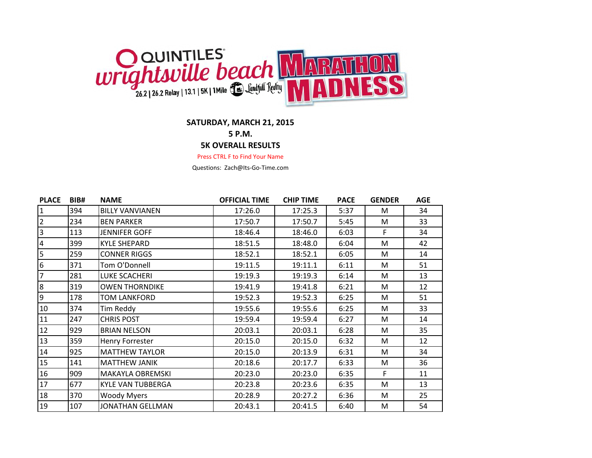

## **SATURDAY, MARCH 21, 2015**

**5 P.M.**

## **5K OVERALL RESULTS**

Press CTRL F to Find Your Name

Questions: Zach@Its-Go-Time.com

| <b>PLACE</b>    | BIB# | <b>NAME</b>              | <b>OFFICIAL TIME</b> | <b>CHIP TIME</b> | <b>PACE</b> | <b>GENDER</b> | <b>AGE</b> |
|-----------------|------|--------------------------|----------------------|------------------|-------------|---------------|------------|
| $\mathbf{1}$    | 394  | <b>BILLY VANVIANEN</b>   | 17:26.0              | 17:25.3          | 5:37        | M             | 34         |
| $\mathbf{2}$    | 234  | <b>BEN PARKER</b>        | 17:50.7              | 17:50.7          | 5:45        | M             | 33         |
| $\overline{3}$  | 113  | <b>JENNIFER GOFF</b>     | 18:46.4              | 18:46.0          | 6:03        | F             | 34         |
| $\overline{4}$  | 399  | <b>KYLE SHEPARD</b>      | 18:51.5              | 18:48.0          | 6:04        | M             | 42         |
| 5               | 259  | <b>CONNER RIGGS</b>      | 18:52.1              | 18:52.1          | 6:05        | M             | 14         |
| $6\phantom{.}6$ | 371  | Tom O'Donnell            | 19:11.5              | 19:11.1          | 6:11        | M             | 51         |
| $\overline{7}$  | 281  | LUKE SCACHERI            | 19:19.3              | 19:19.3          | 6:14        | M             | 13         |
| 8               | 319  | <b>OWEN THORNDIKE</b>    | 19:41.9              | 19:41.8          | 6:21        | M             | 12         |
| 9               | 178  | TOM LANKFORD             | 19:52.3              | 19:52.3          | 6:25        | M             | 51         |
| $10\,$          | 374  | Tim Reddy                | 19:55.6              | 19:55.6          | 6:25        | M             | 33         |
| 11              | 247  | <b>CHRIS POST</b>        | 19:59.4              | 19:59.4          | 6:27        | M             | 14         |
| 12              | 929  | <b>BRIAN NELSON</b>      | 20:03.1              | 20:03.1          | 6:28        | M             | 35         |
| 13              | 359  | Henry Forrester          | 20:15.0              | 20:15.0          | 6:32        | M             | 12         |
| $14\,$          | 925  | <b>MATTHEW TAYLOR</b>    | 20:15.0              | 20:13.9          | 6:31        | M             | 34         |
| 15              | 141  | <b>MATTHEW JANIK</b>     | 20:18.6              | 20:17.7          | 6:33        | M             | 36         |
| 16              | 909  | MAKAYLA OBREMSKI         | 20:23.0              | 20:23.0          | 6:35        | F             | 11         |
| 17              | 677  | <b>KYLE VAN TUBBERGA</b> | 20:23.8              | 20:23.6          | 6:35        | M             | 13         |
| 18              | 370  | <b>Woody Myers</b>       | 20:28.9              | 20:27.2          | 6:36        | M             | 25         |
| 19              | 107  | JONATHAN GELLMAN         | 20:43.1              | 20:41.5          | 6:40        | M             | 54         |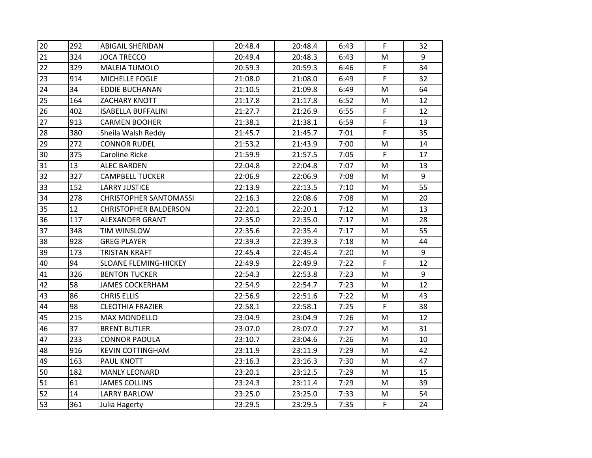| 20 | 292 | <b>ABIGAIL SHERIDAN</b>       | 20:48.4 | 20:48.4 | 6:43 | F.           | 32 |
|----|-----|-------------------------------|---------|---------|------|--------------|----|
| 21 | 324 | <b>JOCA TRECCO</b>            | 20:49.4 | 20:48.3 | 6:43 | M            | 9  |
| 22 | 329 | <b>MALEIA TUMOLO</b>          | 20:59.3 | 20:59.3 | 6:46 | F.           | 34 |
| 23 | 914 | MICHELLE FOGLE                | 21:08.0 | 21:08.0 | 6:49 | F.           | 32 |
| 24 | 34  | <b>EDDIE BUCHANAN</b>         | 21:10.5 | 21:09.8 | 6:49 | M            | 64 |
| 25 | 164 | ZACHARY KNOTT                 | 21:17.8 | 21:17.8 | 6:52 | M            | 12 |
| 26 | 402 | <b>ISABELLA BUFFALINI</b>     | 21:27.7 | 21:26.9 | 6:55 | $\mathsf F$  | 12 |
| 27 | 913 | <b>CARMEN BOOHER</b>          | 21:38.1 | 21:38.1 | 6:59 | F            | 13 |
| 28 | 380 | Sheila Walsh Reddy            | 21:45.7 | 21:45.7 | 7:01 | F            | 35 |
| 29 | 272 | <b>CONNOR RUDEL</b>           | 21:53.2 | 21:43.9 | 7:00 | M            | 14 |
| 30 | 375 | Caroline Ricke                | 21:59.9 | 21:57.5 | 7:05 | F            | 17 |
| 31 | 13  | <b>ALEC BARDEN</b>            | 22:04.8 | 22:04.8 | 7:07 | M            | 13 |
| 32 | 327 | <b>CAMPBELL TUCKER</b>        | 22:06.9 | 22:06.9 | 7:08 | M            | 9  |
| 33 | 152 | <b>LARRY JUSTICE</b>          | 22:13.9 | 22:13.5 | 7:10 | М            | 55 |
| 34 | 278 | <b>CHRISTOPHER SANTOMASSI</b> | 22:16.3 | 22:08.6 | 7:08 | м            | 20 |
| 35 | 12  | <b>CHRISTOPHER BALDERSON</b>  | 22:20.1 | 22:20.1 | 7:12 | M            | 13 |
| 36 | 117 | ALEXANDER GRANT               | 22:35.0 | 22:35.0 | 7:17 | M            | 28 |
| 37 | 348 | TIM WINSLOW                   | 22:35.6 | 22:35.4 | 7:17 | M            | 55 |
| 38 | 928 | <b>GREG PLAYER</b>            | 22:39.3 | 22:39.3 | 7:18 | М            | 44 |
| 39 | 173 | <b>TRISTAN KRAFT</b>          | 22:45.4 | 22:45.4 | 7:20 | M            | 9  |
| 40 | 94  | <b>SLOANE FLEMING-HICKEY</b>  | 22:49.9 | 22:49.9 | 7:22 | F.           | 12 |
| 41 | 326 | <b>BENTON TUCKER</b>          | 22:54.3 | 22:53.8 | 7:23 | M            | 9  |
| 42 | 58  | <b>JAMES COCKERHAM</b>        | 22:54.9 | 22:54.7 | 7:23 | M            | 12 |
| 43 | 86  | <b>CHRIS ELLIS</b>            | 22:56.9 | 22:51.6 | 7:22 | М            | 43 |
| 44 | 98  | <b>CLEOTHIA FRAZIER</b>       | 22:58.1 | 22:58.1 | 7:25 | F            | 38 |
| 45 | 215 | <b>MAX MONDELLO</b>           | 23:04.9 | 23:04.9 | 7:26 | M            | 12 |
| 46 | 37  | <b>BRENT BUTLER</b>           | 23:07.0 | 23:07.0 | 7:27 | м            | 31 |
| 47 | 233 | <b>CONNOR PADULA</b>          | 23:10.7 | 23:04.6 | 7:26 | M            | 10 |
| 48 | 916 | <b>KEVIN COTTINGHAM</b>       | 23:11.9 | 23:11.9 | 7:29 | M            | 42 |
| 49 | 163 | PAUL KNOTT                    | 23:16.3 | 23:16.3 | 7:30 | M            | 47 |
| 50 | 182 | <b>MANLY LEONARD</b>          | 23:20.1 | 23:12.5 | 7:29 | M            | 15 |
| 51 | 61  | <b>JAMES COLLINS</b>          | 23:24.3 | 23:11.4 | 7:29 | M            | 39 |
| 52 | 14  | <b>LARRY BARLOW</b>           | 23:25.0 | 23:25.0 | 7:33 | M            | 54 |
| 53 | 361 | Julia Hagerty                 | 23:29.5 | 23:29.5 | 7:35 | $\mathsf{F}$ | 24 |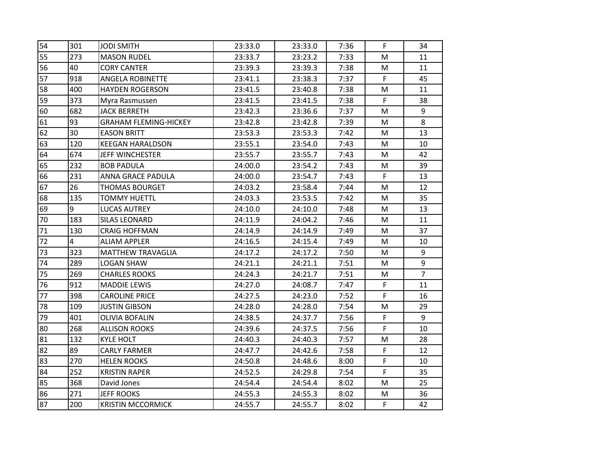| 54 | 301            | <b>JODI SMITH</b>            | 23:33.0 | 23:33.0 | 7:36 | F | 34             |
|----|----------------|------------------------------|---------|---------|------|---|----------------|
| 55 | 273            | <b>MASON RUDEL</b>           | 23:33.7 | 23:23.2 | 7:33 | M | 11             |
| 56 | 40             | <b>CORY CANTER</b>           | 23:39.3 | 23:39.3 | 7:38 | M | 11             |
| 57 | 918            | ANGELA ROBINETTE             | 23:41.1 | 23:38.3 | 7:37 | F | 45             |
| 58 | 400            | <b>HAYDEN ROGERSON</b>       | 23:41.5 | 23:40.8 | 7:38 | M | 11             |
| 59 | 373            | Myra Rasmussen               | 23:41.5 | 23:41.5 | 7:38 | F | 38             |
| 60 | 682            | <b>JACK BERRETH</b>          | 23:42.3 | 23:36.6 | 7:37 | M | 9              |
| 61 | 93             | <b>GRAHAM FLEMING-HICKEY</b> | 23:42.8 | 23:42.8 | 7:39 | M | 8              |
| 62 | 30             | <b>EASON BRITT</b>           | 23:53.3 | 23:53.3 | 7:42 | м | 13             |
| 63 | 120            | <b>KEEGAN HARALDSON</b>      | 23:55.1 | 23:54.0 | 7:43 | M | 10             |
| 64 | 674            | <b>JEFF WINCHESTER</b>       | 23:55.7 | 23:55.7 | 7:43 | M | 42             |
| 65 | 232            | <b>BOB PADULA</b>            | 24:00.0 | 23:54.2 | 7:43 | M | 39             |
| 66 | 231            | ANNA GRACE PADULA            | 24:00.0 | 23:54.7 | 7:43 | F | 13             |
| 67 | 26             | <b>THOMAS BOURGET</b>        | 24:03.2 | 23:58.4 | 7:44 | М | 12             |
| 68 | 135            | <b>TOMMY HUETTL</b>          | 24:03.3 | 23:53.5 | 7:42 | М | 35             |
| 69 | 9              | <b>LUCAS AUTREY</b>          | 24:10.0 | 24:10.0 | 7:48 | M | 13             |
| 70 | 183            | <b>SILAS LEONARD</b>         | 24:11.9 | 24:04.2 | 7:46 | M | 11             |
| 71 | 130            | <b>CRAIG HOFFMAN</b>         | 24:14.9 | 24:14.9 | 7:49 | M | 37             |
| 72 | $\overline{4}$ | <b>ALIAM APPLER</b>          | 24:16.5 | 24:15.4 | 7:49 | м | 10             |
| 73 | 323            | <b>MATTHEW TRAVAGLIA</b>     | 24:17.2 | 24:17.2 | 7:50 | M | 9              |
| 74 | 289            | <b>LOGAN SHAW</b>            | 24:21.1 | 24:21.1 | 7:51 | M | 9              |
| 75 | 269            | <b>CHARLES ROOKS</b>         | 24:24.3 | 24:21.7 | 7:51 | M | $\overline{7}$ |
| 76 | 912            | <b>MADDIE LEWIS</b>          | 24:27.0 | 24:08.7 | 7:47 | F | 11             |
| 77 | 398            | <b>CAROLINE PRICE</b>        | 24:27.5 | 24:23.0 | 7:52 | F | 16             |
| 78 | 109            | <b>JUSTIN GIBSON</b>         | 24:28.0 | 24:28.0 | 7:54 | M | 29             |
| 79 | 401            | <b>OLIVIA BOFALIN</b>        | 24:38.5 | 24:37.7 | 7:56 | F | 9              |
| 80 | 268            | <b>ALLISON ROOKS</b>         | 24:39.6 | 24:37.5 | 7:56 | F | 10             |
| 81 | 132            | <b>KYLE HOLT</b>             | 24:40.3 | 24:40.3 | 7:57 | M | 28             |
| 82 | 89             | <b>CARLY FARMER</b>          | 24:47.7 | 24:42.6 | 7:58 | F | 12             |
| 83 | 270            | <b>HELEN ROOKS</b>           | 24:50.8 | 24:48.6 | 8:00 | F | 10             |
| 84 | 252            | <b>KRISTIN RAPER</b>         | 24:52.5 | 24:29.8 | 7:54 | F | 35             |
| 85 | 368            | David Jones                  | 24:54.4 | 24:54.4 | 8:02 | M | 25             |
| 86 | 271            | <b>JEFF ROOKS</b>            | 24:55.3 | 24:55.3 | 8:02 | M | 36             |
| 87 | 200            | <b>KRISTIN MCCORMICK</b>     | 24:55.7 | 24:55.7 | 8:02 | F | 42             |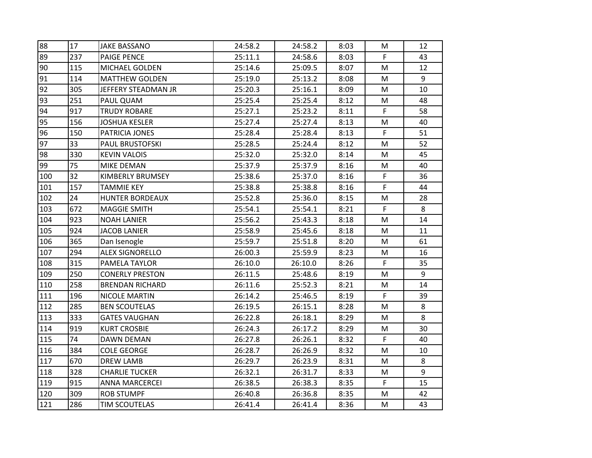| 88  | 17  | <b>JAKE BASSANO</b>    | 24:58.2 | 24:58.2 | 8:03 | М  | 12 |
|-----|-----|------------------------|---------|---------|------|----|----|
| 89  | 237 | PAIGE PENCE            | 25:11.1 | 24:58.6 | 8:03 | F. | 43 |
| 90  | 115 | MICHAEL GOLDEN         | 25:14.6 | 25:09.5 | 8:07 | M  | 12 |
| 91  | 114 | <b>MATTHEW GOLDEN</b>  | 25:19.0 | 25:13.2 | 8:08 | м  | 9  |
| 92  | 305 | JEFFERY STEADMAN JR    | 25:20.3 | 25:16.1 | 8:09 | M  | 10 |
| 93  | 251 | PAUL QUAM              | 25:25.4 | 25:25.4 | 8:12 | M  | 48 |
| 94  | 917 | <b>TRUDY ROBARE</b>    | 25:27.1 | 25:23.2 | 8:11 | F  | 58 |
| 95  | 156 | <b>JOSHUA KESLER</b>   | 25:27.4 | 25:27.4 | 8:13 | M  | 40 |
| 96  | 150 | PATRICIA JONES         | 25:28.4 | 25:28.4 | 8:13 | F  | 51 |
| 97  | 33  | <b>PAUL BRUSTOFSKI</b> | 25:28.5 | 25:24.4 | 8:12 | M  | 52 |
| 98  | 330 | <b>KEVIN VALOIS</b>    | 25:32.0 | 25:32.0 | 8:14 | M  | 45 |
| 99  | 75  | MIKE DEMAN             | 25:37.9 | 25:37.9 | 8:16 | M  | 40 |
| 100 | 32  | KIMBERLY BRUMSEY       | 25:38.6 | 25:37.0 | 8:16 | F  | 36 |
| 101 | 157 | <b>TAMMIE KEY</b>      | 25:38.8 | 25:38.8 | 8:16 | F  | 44 |
| 102 | 24  | <b>HUNTER BORDEAUX</b> | 25:52.8 | 25:36.0 | 8:15 | M  | 28 |
| 103 | 672 | <b>MAGGIE SMITH</b>    | 25:54.1 | 25:54.1 | 8:21 | F  | 8  |
| 104 | 923 | <b>NOAH LANIER</b>     | 25:56.2 | 25:43.3 | 8:18 | M  | 14 |
| 105 | 924 | <b>JACOB LANIER</b>    | 25:58.9 | 25:45.6 | 8:18 | M  | 11 |
| 106 | 365 | Dan Isenogle           | 25:59.7 | 25:51.8 | 8:20 | м  | 61 |
| 107 | 294 | <b>ALEX SIGNORELLO</b> | 26:00.3 | 25:59.9 | 8:23 | M  | 16 |
| 108 | 315 | PAMELA TAYLOR          | 26:10.0 | 26:10.0 | 8:26 | F. | 35 |
| 109 | 250 | <b>CONERLY PRESTON</b> | 26:11.5 | 25:48.6 | 8:19 | M  | 9  |
| 110 | 258 | <b>BRENDAN RICHARD</b> | 26:11.6 | 25:52.3 | 8:21 | M  | 14 |
| 111 | 196 | NICOLE MARTIN          | 26:14.2 | 25:46.5 | 8:19 | F. | 39 |
| 112 | 285 | <b>BEN SCOUTELAS</b>   | 26:19.5 | 26:15.1 | 8:28 | M  | 8  |
| 113 | 333 | <b>GATES VAUGHAN</b>   | 26:22.8 | 26:18.1 | 8:29 | M  | 8  |
| 114 | 919 | <b>KURT CROSBIE</b>    | 26:24.3 | 26:17.2 | 8:29 | M  | 30 |
| 115 | 74  | DAWN DEMAN             | 26:27.8 | 26:26.1 | 8:32 | F  | 40 |
| 116 | 384 | <b>COLE GEORGE</b>     | 26:28.7 | 26:26.9 | 8:32 | M  | 10 |
| 117 | 670 | <b>DREW LAMB</b>       | 26:29.7 | 26:23.9 | 8:31 | м  | 8  |
| 118 | 328 | <b>CHARLIE TUCKER</b>  | 26:32.1 | 26:31.7 | 8:33 | M  | 9  |
| 119 | 915 | <b>ANNA MARCERCEI</b>  | 26:38.5 | 26:38.3 | 8:35 | F. | 15 |
| 120 | 309 | <b>ROB STUMPF</b>      | 26:40.8 | 26:36.8 | 8:35 | M  | 42 |
| 121 | 286 | <b>TIM SCOUTELAS</b>   | 26:41.4 | 26:41.4 | 8:36 | M  | 43 |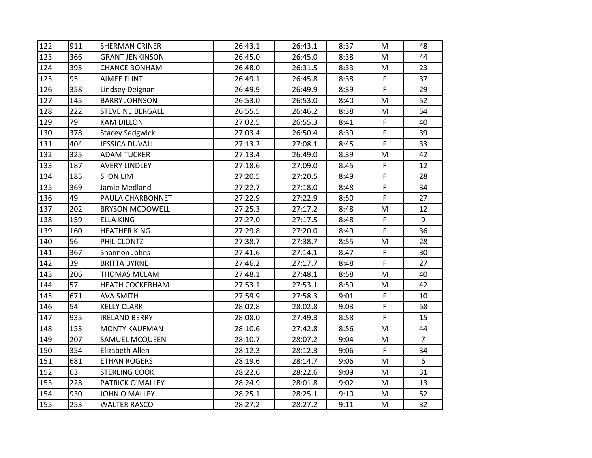| 122 | 911 | <b>SHERMAN CRINER</b>   | 26:43.1 | 26:43.1 | 8:37 | М         | 48             |
|-----|-----|-------------------------|---------|---------|------|-----------|----------------|
| 123 | 366 | <b>GRANT JENKINSON</b>  | 26:45.0 | 26:45.0 | 8:38 | M         | 44             |
| 124 | 395 | <b>CHANCE BONHAM</b>    | 26:48.0 | 26:31.5 | 8:33 | M         | 23             |
| 125 | 95  | <b>AIMEE FLINT</b>      | 26:49.1 | 26:45.8 | 8:38 | F         | 37             |
| 126 | 358 | Lindsey Deignan         | 26:49.9 | 26:49.9 | 8:39 | F         | 29             |
| 127 | 145 | <b>BARRY JOHNSON</b>    | 26:53.0 | 26:53.0 | 8:40 | M         | 52             |
| 128 | 222 | <b>STEVE NEIBERGALL</b> | 26:55.5 | 26:46.2 | 8:38 | M         | 54             |
| 129 | 79  | <b>KAM DILLON</b>       | 27:02.5 | 26:55.3 | 8:41 | F         | 40             |
| 130 | 378 | <b>Stacey Sedgwick</b>  | 27:03.4 | 26:50.4 | 8:39 | F         | 39             |
| 131 | 404 | <b>JESSICA DUVALL</b>   | 27:13.2 | 27:08.1 | 8:45 | F         | 33             |
| 132 | 325 | <b>ADAM TUCKER</b>      | 27:13.4 | 26:49.0 | 8:39 | M         | 42             |
| 133 | 187 | <b>AVERY LINDLEY</b>    | 27:18.6 | 27:09.0 | 8:45 | F.        | 12             |
| 134 | 185 | SI ON LIM               | 27:20.5 | 27:20.5 | 8:49 | F         | 28             |
| 135 | 369 | Jamie Medland           | 27:22.7 | 27:18.0 | 8:48 | F         | 34             |
| 136 | 49  | PAULA CHARBONNET        | 27:22.9 | 27:22.9 | 8:50 | F         | 27             |
| 137 | 202 | <b>BRYSON MCDOWELL</b>  | 27:25.3 | 27:17.2 | 8:48 | M         | 12             |
| 138 | 159 | <b>ELLA KING</b>        | 27:27.0 | 27:17.5 | 8:48 | F         | 9              |
| 139 | 160 | <b>HEATHER KING</b>     | 27:29.8 | 27:20.0 | 8:49 | F         | 36             |
| 140 | 56  | PHIL CLONTZ             | 27:38.7 | 27:38.7 | 8:55 | M         | 28             |
| 141 | 367 | Shannon Johns           | 27:41.6 | 27:14.1 | 8:47 | F         | 30             |
| 142 | 39  | <b>BRITTA BYRNE</b>     | 27:46.2 | 27:17.7 | 8:48 | F         | 27             |
| 143 | 206 | <b>THOMAS MCLAM</b>     | 27:48.1 | 27:48.1 | 8:58 | M         | 40             |
| 144 | 57  | <b>HEATH COCKERHAM</b>  | 27:53.1 | 27:53.1 | 8:59 | M         | 42             |
| 145 | 671 | <b>AVA SMITH</b>        | 27:59.9 | 27:58.3 | 9:01 | F         | 10             |
| 146 | 54  | <b>KELLY CLARK</b>      | 28:02.8 | 28:02.8 | 9:03 | F         | 58             |
| 147 | 935 | <b>IRELAND BERRY</b>    | 28:08.0 | 27:49.3 | 8:58 | F         | 15             |
| 148 | 153 | <b>MONTY KAUFMAN</b>    | 28:10.6 | 27:42.8 | 8:56 | M         | 44             |
| 149 | 207 | SAMUEL MCQUEEN          | 28:10.7 | 28:07.2 | 9:04 | M         | $\overline{7}$ |
| 150 | 354 | Elizabeth Allen         | 28:12.3 | 28:12.3 | 9:06 | F         | 34             |
| 151 | 681 | <b>ETHAN ROGERS</b>     | 28:19.6 | 28:14.7 | 9:06 | M         | 6              |
| 152 | 63  | <b>STERLING COOK</b>    | 28:22.6 | 28:22.6 | 9:09 | M         | 31             |
| 153 | 228 | PATRICK O'MALLEY        | 28:24.9 | 28:01.8 | 9:02 | M         | 13             |
| 154 | 930 | <b>JOHN O'MALLEY</b>    | 28:25.1 | 28:25.1 | 9:10 | ${\sf M}$ | 52             |
| 155 | 253 | <b>WALTER RASCO</b>     | 28:27.2 | 28:27.2 | 9:11 | M         | 32             |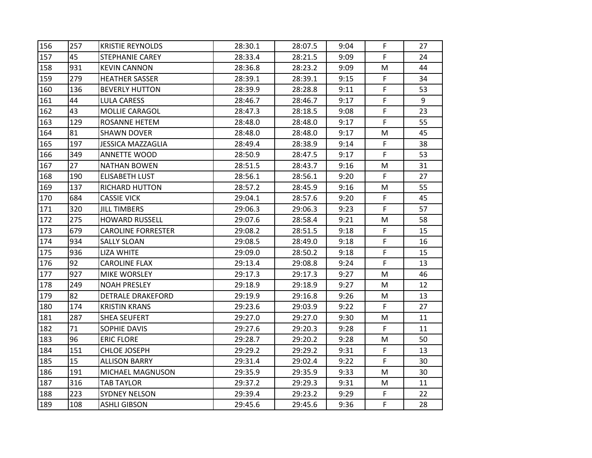| 156 | 257 | <b>KRISTIE REYNOLDS</b>   | 28:30.1 | 28:07.5 | 9:04 | F  | 27 |
|-----|-----|---------------------------|---------|---------|------|----|----|
| 157 | 45  | STEPHANIE CAREY           | 28:33.4 | 28:21.5 | 9:09 | F  | 24 |
| 158 | 931 | <b>KEVIN CANNON</b>       | 28:36.8 | 28:23.2 | 9:09 | м  | 44 |
| 159 | 279 | <b>HEATHER SASSER</b>     | 28:39.1 | 28:39.1 | 9:15 | F  | 34 |
| 160 | 136 | <b>BEVERLY HUTTON</b>     | 28:39.9 | 28:28.8 | 9:11 | F  | 53 |
| 161 | 44  | <b>LULA CARESS</b>        | 28:46.7 | 28:46.7 | 9:17 | F  | 9  |
| 162 | 43  | MOLLIE CARAGOL            | 28:47.3 | 28:18.5 | 9:08 | F  | 23 |
| 163 | 129 | <b>ROSANNE HETEM</b>      | 28:48.0 | 28:48.0 | 9:17 | F  | 55 |
| 164 | 81  | <b>SHAWN DOVER</b>        | 28:48.0 | 28:48.0 | 9:17 | м  | 45 |
| 165 | 197 | <b>JESSICA MAZZAGLIA</b>  | 28:49.4 | 28:38.9 | 9:14 | F  | 38 |
| 166 | 349 | <b>ANNETTE WOOD</b>       | 28:50.9 | 28:47.5 | 9:17 | F  | 53 |
| 167 | 27  | <b>NATHAN BOWEN</b>       | 28:51.5 | 28:43.7 | 9:16 | M  | 31 |
| 168 | 190 | <b>ELISABETH LUST</b>     | 28:56.1 | 28:56.1 | 9:20 | F  | 27 |
| 169 | 137 | <b>RICHARD HUTTON</b>     | 28:57.2 | 28:45.9 | 9:16 | М  | 55 |
| 170 | 684 | <b>CASSIE VICK</b>        | 29:04.1 | 28:57.6 | 9:20 | F  | 45 |
| 171 | 320 | <b>JILL TIMBERS</b>       | 29:06.3 | 29:06.3 | 9:23 | F  | 57 |
| 172 | 275 | <b>HOWARD RUSSELL</b>     | 29:07.6 | 28:58.4 | 9:21 | M  | 58 |
| 173 | 679 | <b>CAROLINE FORRESTER</b> | 29:08.2 | 28:51.5 | 9:18 | F  | 15 |
| 174 | 934 | <b>SALLY SLOAN</b>        | 29:08.5 | 28:49.0 | 9:18 | F  | 16 |
| 175 | 936 | <b>LIZA WHITE</b>         | 29:09.0 | 28:50.2 | 9:18 | F  | 15 |
| 176 | 92  | <b>CAROLINE FLAX</b>      | 29:13.4 | 29:08.8 | 9:24 | F  | 13 |
| 177 | 927 | MIKE WORSLEY              | 29:17.3 | 29:17.3 | 9:27 | M  | 46 |
| 178 | 249 | <b>NOAH PRESLEY</b>       | 29:18.9 | 29:18.9 | 9:27 | M  | 12 |
| 179 | 82  | <b>DETRALE DRAKEFORD</b>  | 29:19.9 | 29:16.8 | 9:26 | м  | 13 |
| 180 | 174 | <b>KRISTIN KRANS</b>      | 29:23.6 | 29:03.9 | 9:22 | F  | 27 |
| 181 | 287 | <b>SHEA SEUFERT</b>       | 29:27.0 | 29:27.0 | 9:30 | M  | 11 |
| 182 | 71  | SOPHIE DAVIS              | 29:27.6 | 29:20.3 | 9:28 | F  | 11 |
| 183 | 96  | <b>ERIC FLORE</b>         | 29:28.7 | 29:20.2 | 9:28 | M  | 50 |
| 184 | 151 | CHLOE JOSEPH              | 29:29.2 | 29:29.2 | 9:31 | F  | 13 |
| 185 | 15  | ALLISON BARRY             | 29:31.4 | 29:02.4 | 9:22 | F  | 30 |
| 186 | 191 | MICHAEL MAGNUSON          | 29:35.9 | 29:35.9 | 9:33 | M  | 30 |
| 187 | 316 | <b>TAB TAYLOR</b>         | 29:37.2 | 29:29.3 | 9:31 | M  | 11 |
| 188 | 223 | <b>SYDNEY NELSON</b>      | 29:39.4 | 29:23.2 | 9:29 | F  | 22 |
| 189 | 108 | <b>ASHLI GIBSON</b>       | 29:45.6 | 29:45.6 | 9:36 | F. | 28 |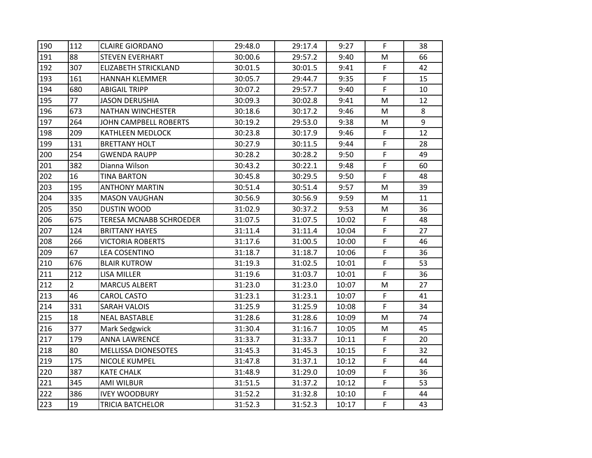| 190 | 112            | <b>CLAIRE GIORDANO</b>         | 29:48.0 | 29:17.4 | 9:27  | F | 38 |
|-----|----------------|--------------------------------|---------|---------|-------|---|----|
| 191 | 88             | <b>STEVEN EVERHART</b>         | 30:00.6 | 29:57.2 | 9:40  | M | 66 |
| 192 | 307            | <b>ELIZABETH STRICKLAND</b>    | 30:01.5 | 30:01.5 | 9:41  | F | 42 |
| 193 | 161            | <b>HANNAH KLEMMER</b>          | 30:05.7 | 29:44.7 | 9:35  | F | 15 |
| 194 | 680            | <b>ABIGAIL TRIPP</b>           | 30:07.2 | 29:57.7 | 9:40  | F | 10 |
| 195 | 77             | <b>JASON DERUSHIA</b>          | 30:09.3 | 30:02.8 | 9:41  | M | 12 |
| 196 | 673            | NATHAN WINCHESTER              | 30:18.6 | 30:17.2 | 9:46  | M | 8  |
| 197 | 264            | JOHN CAMPBELL ROBERTS          | 30:19.2 | 29:53.0 | 9:38  | M | 9  |
| 198 | 209            | <b>KATHLEEN MEDLOCK</b>        | 30:23.8 | 30:17.9 | 9:46  | F | 12 |
| 199 | 131            | <b>BRETTANY HOLT</b>           | 30:27.9 | 30:11.5 | 9:44  | F | 28 |
| 200 | 254            | <b>GWENDA RAUPP</b>            | 30:28.2 | 30:28.2 | 9:50  | F | 49 |
| 201 | 382            | Dianna Wilson                  | 30:43.2 | 30:22.1 | 9:48  | F | 60 |
| 202 | 16             | <b>TINA BARTON</b>             | 30:45.8 | 30:29.5 | 9:50  | F | 48 |
| 203 | 195            | <b>ANTHONY MARTIN</b>          | 30:51.4 | 30:51.4 | 9:57  | М | 39 |
| 204 | 335            | <b>MASON VAUGHAN</b>           | 30:56.9 | 30:56.9 | 9:59  | M | 11 |
| 205 | 350            | <b>DUSTIN WOOD</b>             | 31:02.9 | 30:37.2 | 9:53  | M | 36 |
| 206 | 675            | <b>TERESA MCNABB SCHROEDER</b> | 31:07.5 | 31:07.5 | 10:02 | F | 48 |
| 207 | 124            | <b>BRITTANY HAYES</b>          | 31:11.4 | 31:11.4 | 10:04 | F | 27 |
| 208 | 266            | <b>VICTORIA ROBERTS</b>        | 31:17.6 | 31:00.5 | 10:00 | F | 46 |
| 209 | 67             | <b>LEA COSENTINO</b>           | 31:18.7 | 31:18.7 | 10:06 | F | 36 |
| 210 | 676            | <b>BLAIR KUTROW</b>            | 31:19.3 | 31:02.5 | 10:01 | F | 53 |
| 211 | 212            | LISA MILLER                    | 31:19.6 | 31:03.7 | 10:01 | F | 36 |
| 212 | $\overline{2}$ | <b>MARCUS ALBERT</b>           | 31:23.0 | 31:23.0 | 10:07 | M | 27 |
| 213 | 46             | <b>CAROL CASTO</b>             | 31:23.1 | 31:23.1 | 10:07 | F | 41 |
| 214 | 331            | <b>SARAH VALOIS</b>            | 31:25.9 | 31:25.9 | 10:08 | F | 34 |
| 215 | 18             | <b>NEAL BASTABLE</b>           | 31:28.6 | 31:28.6 | 10:09 | M | 74 |
| 216 | 377            | Mark Sedgwick                  | 31:30.4 | 31:16.7 | 10:05 | M | 45 |
| 217 | 179            | <b>ANNA LAWRENCE</b>           | 31:33.7 | 31:33.7 | 10:11 | F | 20 |
| 218 | 80             | <b>MELLISSA DIONESOTES</b>     | 31:45.3 | 31:45.3 | 10:15 | F | 32 |
| 219 | 175            | NICOLE KUMPEL                  | 31:47.8 | 31:37.1 | 10:12 | F | 44 |
| 220 | 387            | <b>KATE CHALK</b>              | 31:48.9 | 31:29.0 | 10:09 | F | 36 |
| 221 | 345            | <b>AMI WILBUR</b>              | 31:51.5 | 31:37.2 | 10:12 | F | 53 |
| 222 | 386            | <b>IVEY WOODBURY</b>           | 31:52.2 | 31:32.8 | 10:10 | F | 44 |
| 223 | 19             | <b>TRICIA BATCHELOR</b>        | 31:52.3 | 31:52.3 | 10:17 | F | 43 |
|     |                |                                |         |         |       |   |    |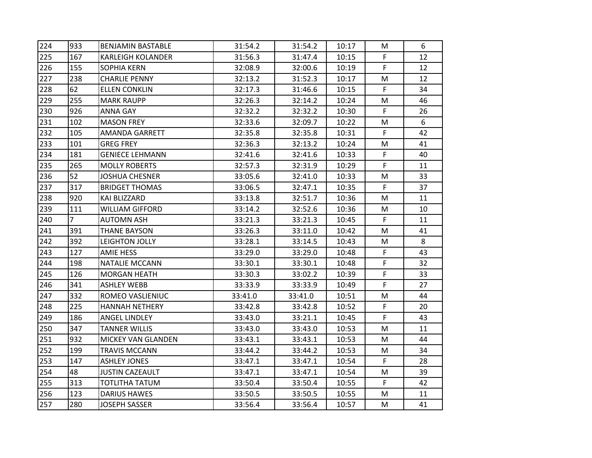| 224 | 933            | <b>BENJAMIN BASTABLE</b>  | 31:54.2 | 31:54.2 | 10:17 | М  | 6  |
|-----|----------------|---------------------------|---------|---------|-------|----|----|
| 225 | 167            | <b>KARLEIGH KOLANDER</b>  | 31:56.3 | 31:47.4 | 10:15 | F. | 12 |
| 226 | 155            | <b>SOPHIA KERN</b>        | 32:08.9 | 32:00.6 | 10:19 | F. | 12 |
| 227 | 238            | <b>CHARLIE PENNY</b>      | 32:13.2 | 31:52.3 | 10:17 | м  | 12 |
| 228 | 62             | <b>ELLEN CONKLIN</b>      | 32:17.3 | 31:46.6 | 10:15 | F. | 34 |
| 229 | 255            | <b>MARK RAUPP</b>         | 32:26.3 | 32:14.2 | 10:24 | М  | 46 |
| 230 | 926            | <b>ANNA GAY</b>           | 32:32.2 | 32:32.2 | 10:30 | F  | 26 |
| 231 | 102            | <b>MASON FREY</b>         | 32:33.6 | 32:09.7 | 10:22 | M  | 6  |
| 232 | 105            | AMANDA GARRETT            | 32:35.8 | 32:35.8 | 10:31 | F. | 42 |
| 233 | 101            | <b>GREG FREY</b>          | 32:36.3 | 32:13.2 | 10:24 | M  | 41 |
| 234 | 181            | <b>GENIECE LEHMANN</b>    | 32:41.6 | 32:41.6 | 10:33 | F  | 40 |
| 235 | 265            | <b>MOLLY ROBERTS</b>      | 32:57.3 | 32:31.9 | 10:29 | F. | 11 |
| 236 | 52             | <b>JOSHUA CHESNER</b>     | 33:05.6 | 32:41.0 | 10:33 | M  | 33 |
| 237 | 317            | <b>BRIDGET THOMAS</b>     | 33:06.5 | 32:47.1 | 10:35 | F. | 37 |
| 238 | 920            | KAI BLIZZARD              | 33:13.8 | 32:51.7 | 10:36 | М  | 11 |
| 239 | 111            | WILLIAM GIFFORD           | 33:14.2 | 32:52.6 | 10:36 | М  | 10 |
| 240 | $\overline{7}$ | <b>AUTOMN ASH</b>         | 33:21.3 | 33:21.3 | 10:45 | F  | 11 |
| 241 | 391            | <b>THANE BAYSON</b>       | 33:26.3 | 33:11.0 | 10:42 | М  | 41 |
| 242 | 392            | LEIGHTON JOLLY            | 33:28.1 | 33:14.5 | 10:43 | м  | 8  |
| 243 | 127            | AMIE HESS                 | 33:29.0 | 33:29.0 | 10:48 | F  | 43 |
| 244 | 198            | <b>NATALIE MCCANN</b>     | 33:30.1 | 33:30.1 | 10:48 | F  | 32 |
| 245 | 126            | <b>MORGAN HEATH</b>       | 33:30.3 | 33:02.2 | 10:39 | F. | 33 |
| 246 | 341            | <b>ASHLEY WEBB</b>        | 33:33.9 | 33:33.9 | 10:49 | F. | 27 |
| 247 | 332            | ROMEO VASLIENIUC          | 33:41.0 | 33:41.0 | 10:51 | м  | 44 |
| 248 | 225            | <b>HANNAH NETHERY</b>     | 33:42.8 | 33:42.8 | 10:52 | F. | 20 |
| 249 | 186            | <b>ANGEL LINDLEY</b>      | 33:43.0 | 33:21.1 | 10:45 | F  | 43 |
| 250 | 347            | <b>TANNER WILLIS</b>      | 33:43.0 | 33:43.0 | 10:53 | м  | 11 |
| 251 | 932            | <b>MICKEY VAN GLANDEN</b> | 33:43.1 | 33:43.1 | 10:53 | M  | 44 |
| 252 | 199            | <b>TRAVIS MCCANN</b>      | 33:44.2 | 33:44.2 | 10:53 | М  | 34 |
| 253 | 147            | <b>ASHLEY JONES</b>       | 33:47.1 | 33:47.1 | 10:54 | F. | 28 |
| 254 | 48             | <b>JUSTIN CAZEAULT</b>    | 33:47.1 | 33:47.1 | 10:54 | M  | 39 |
| 255 | 313            | TOTLITHA TATUM            | 33:50.4 | 33:50.4 | 10:55 | F  | 42 |
| 256 | 123            | <b>DARIUS HAWES</b>       | 33:50.5 | 33:50.5 | 10:55 | M  | 11 |
| 257 | 280            | <b>JOSEPH SASSER</b>      | 33:56.4 | 33:56.4 | 10:57 | M  | 41 |
|     |                |                           |         |         |       |    |    |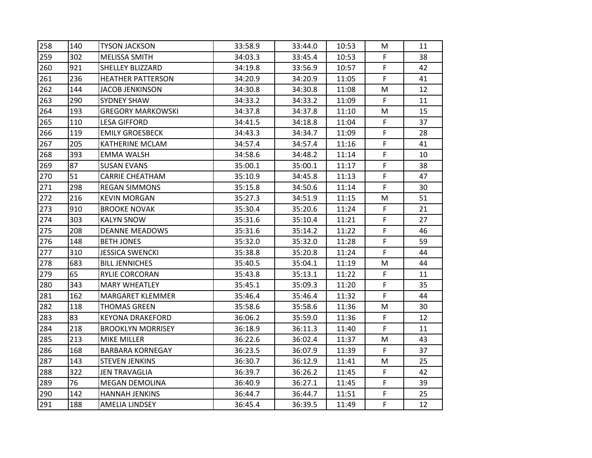| 258 | 140 | <b>TYSON JACKSON</b>     | 33:58.9 | 33:44.0 | 10:53 | М  | 11 |
|-----|-----|--------------------------|---------|---------|-------|----|----|
| 259 | 302 | <b>MELISSA SMITH</b>     | 34:03.3 | 33:45.4 | 10:53 | F. | 38 |
| 260 | 921 | <b>SHELLEY BLIZZARD</b>  | 34:19.8 | 33:56.9 | 10:57 | F  | 42 |
| 261 | 236 | <b>HEATHER PATTERSON</b> | 34:20.9 | 34:20.9 | 11:05 | F. | 41 |
| 262 | 144 | JACOB JENKINSON          | 34:30.8 | 34:30.8 | 11:08 | M  | 12 |
| 263 | 290 | <b>SYDNEY SHAW</b>       | 34:33.2 | 34:33.2 | 11:09 | F  | 11 |
| 264 | 193 | <b>GREGORY MARKOWSKI</b> | 34:37.8 | 34:37.8 | 11:10 | М  | 15 |
| 265 | 110 | <b>LESA GIFFORD</b>      | 34:41.5 | 34:18.8 | 11:04 | F. | 37 |
| 266 | 119 | <b>EMILY GROESBECK</b>   | 34:43.3 | 34:34.7 | 11:09 | F  | 28 |
| 267 | 205 | KATHERINE MCLAM          | 34:57.4 | 34:57.4 | 11:16 | F  | 41 |
| 268 | 393 | <b>EMMA WALSH</b>        | 34:58.6 | 34:48.2 | 11:14 | F  | 10 |
| 269 | 87  | <b>SUSAN EVANS</b>       | 35:00.1 | 35:00.1 | 11:17 | F. | 38 |
| 270 | 51  | <b>CARRIE CHEATHAM</b>   | 35:10.9 | 34:45.8 | 11:13 | F  | 47 |
| 271 | 298 | <b>REGAN SIMMONS</b>     | 35:15.8 | 34:50.6 | 11:14 | F  | 30 |
| 272 | 216 | <b>KEVIN MORGAN</b>      | 35:27.3 | 34:51.9 | 11:15 | M  | 51 |
| 273 | 910 | <b>BROOKE NOVAK</b>      | 35:30.4 | 35:20.6 | 11:24 | F  | 21 |
| 274 | 303 | <b>KALYN SNOW</b>        | 35:31.6 | 35:10.4 | 11:21 | F  | 27 |
| 275 | 208 | <b>DEANNE MEADOWS</b>    | 35:31.6 | 35:14.2 | 11:22 | F  | 46 |
| 276 | 148 | <b>BETH JONES</b>        | 35:32.0 | 35:32.0 | 11:28 | F  | 59 |
| 277 | 310 | <b>JESSICA SWENCKI</b>   | 35:38.8 | 35:20.8 | 11:24 | F  | 44 |
| 278 | 683 | <b>BILL JENNICHES</b>    | 35:40.5 | 35:04.1 | 11:19 | M  | 44 |
| 279 | 65  | <b>RYLIE CORCORAN</b>    | 35:43.8 | 35:13.1 | 11:22 | F  | 11 |
| 280 | 343 | <b>MARY WHEATLEY</b>     | 35:45.1 | 35:09.3 | 11:20 | F. | 35 |
| 281 | 162 | <b>MARGARET KLEMMER</b>  | 35:46.4 | 35:46.4 | 11:32 | F  | 44 |
| 282 | 118 | <b>THOMAS GREEN</b>      | 35:58.6 | 35:58.6 | 11:36 | M  | 30 |
| 283 | 83  | <b>KEYONA DRAKEFORD</b>  | 36:06.2 | 35:59.0 | 11:36 | F  | 12 |
| 284 | 218 | <b>BROOKLYN MORRISEY</b> | 36:18.9 | 36:11.3 | 11:40 | F  | 11 |
| 285 | 213 | MIKE MILLER              | 36:22.6 | 36:02.4 | 11:37 | M  | 43 |
| 286 | 168 | <b>BARBARA KORNEGAY</b>  | 36:23.5 | 36:07.9 | 11:39 | F  | 37 |
| 287 | 143 | <b>STEVEN JENKINS</b>    | 36:30.7 | 36:12.9 | 11:41 | M  | 25 |
| 288 | 322 | <b>JEN TRAVAGLIA</b>     | 36:39.7 | 36:26.2 | 11:45 | F  | 42 |
| 289 | 76  | <b>MEGAN DEMOLINA</b>    | 36:40.9 | 36:27.1 | 11:45 | F. | 39 |
| 290 | 142 | <b>HANNAH JENKINS</b>    | 36:44.7 | 36:44.7 | 11:51 | F  | 25 |
| 291 | 188 | <b>AMELIA LINDSEY</b>    | 36:45.4 | 36:39.5 | 11:49 | F  | 12 |
|     |     |                          |         |         |       |    |    |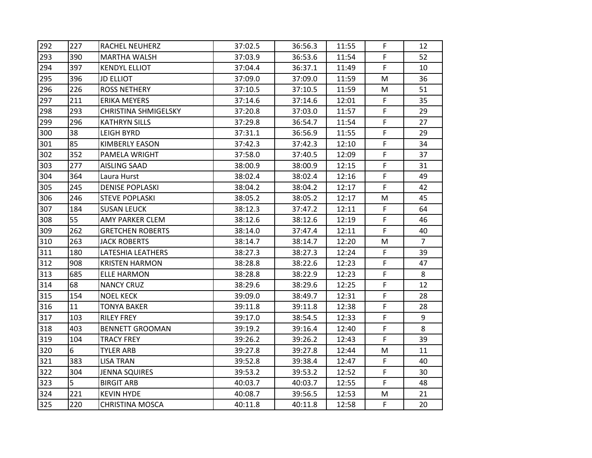| 292 | 227 | RACHEL NEUHERZ              | 37:02.5 | 36:56.3 | 11:55 | F. | 12             |
|-----|-----|-----------------------------|---------|---------|-------|----|----------------|
| 293 | 390 | <b>MARTHA WALSH</b>         | 37:03.9 | 36:53.6 | 11:54 | F  | 52             |
| 294 | 397 | <b>KENDYL ELLIOT</b>        | 37:04.4 | 36:37.1 | 11:49 | F. | 10             |
| 295 | 396 | <b>JD ELLIOT</b>            | 37:09.0 | 37:09.0 | 11:59 | М  | 36             |
| 296 | 226 | <b>ROSS NETHERY</b>         | 37:10.5 | 37:10.5 | 11:59 | м  | 51             |
| 297 | 211 | <b>ERIKA MEYERS</b>         | 37:14.6 | 37:14.6 | 12:01 | F  | 35             |
| 298 | 293 | <b>CHRISTINA SHMIGELSKY</b> | 37:20.8 | 37:03.0 | 11:57 | F  | 29             |
| 299 | 296 | <b>KATHRYN SILLS</b>        | 37:29.8 | 36:54.7 | 11:54 | F  | 27             |
| 300 | 38  | <b>LEIGH BYRD</b>           | 37:31.1 | 36:56.9 | 11:55 | F  | 29             |
| 301 | 85  | <b>KIMBERLY EASON</b>       | 37:42.3 | 37:42.3 | 12:10 | F  | 34             |
| 302 | 352 | PAMELA WRIGHT               | 37:58.0 | 37:40.5 | 12:09 | F  | 37             |
| 303 | 277 | <b>AISLING SAAD</b>         | 38:00.9 | 38:00.9 | 12:15 | F  | 31             |
| 304 | 364 | Laura Hurst                 | 38:02.4 | 38:02.4 | 12:16 | F  | 49             |
| 305 | 245 | <b>DENISE POPLASKI</b>      | 38:04.2 | 38:04.2 | 12:17 | F  | 42             |
| 306 | 246 | <b>STEVE POPLASKI</b>       | 38:05.2 | 38:05.2 | 12:17 | М  | 45             |
| 307 | 184 | <b>SUSAN LEUCK</b>          | 38:12.3 | 37:47.2 | 12:11 | F  | 64             |
| 308 | 55  | AMY PARKER CLEM             | 38:12.6 | 38:12.6 | 12:19 | F  | 46             |
| 309 | 262 | <b>GRETCHEN ROBERTS</b>     | 38:14.0 | 37:47.4 | 12:11 | F  | 40             |
| 310 | 263 | <b>JACK ROBERTS</b>         | 38:14.7 | 38:14.7 | 12:20 | м  | $\overline{7}$ |
| 311 | 180 | LATESHIA LEATHERS           | 38:27.3 | 38:27.3 | 12:24 | F  | 39             |
| 312 | 908 | <b>KRISTEN HARMON</b>       | 38:28.8 | 38:22.6 | 12:23 | F  | 47             |
| 313 | 685 | <b>ELLE HARMON</b>          | 38:28.8 | 38:22.9 | 12:23 | F  | 8              |
| 314 | 68  | <b>NANCY CRUZ</b>           | 38:29.6 | 38:29.6 | 12:25 | F  | 12             |
| 315 | 154 | <b>NOEL KECK</b>            | 39:09.0 | 38:49.7 | 12:31 | F  | 28             |
| 316 | 11  | <b>TONYA BAKER</b>          | 39:11.8 | 39:11.8 | 12:38 | F  | 28             |
| 317 | 103 | <b>RILEY FREY</b>           | 39:17.0 | 38:54.5 | 12:33 | F  | 9              |
| 318 | 403 | <b>BENNETT GROOMAN</b>      | 39:19.2 | 39:16.4 | 12:40 | F  | 8              |
| 319 | 104 | <b>TRACY FREY</b>           | 39:26.2 | 39:26.2 | 12:43 | F  | 39             |
| 320 | 6   | <b>TYLER ARB</b>            | 39:27.8 | 39:27.8 | 12:44 | M  | 11             |
| 321 | 383 | <b>LISA TRAN</b>            | 39:52.8 | 39:38.4 | 12:47 | F  | 40             |
| 322 | 304 | <b>JENNA SQUIRES</b>        | 39:53.2 | 39:53.2 | 12:52 | F  | 30             |
| 323 | 5   | <b>BIRGIT ARB</b>           | 40:03.7 | 40:03.7 | 12:55 | F  | 48             |
| 324 | 221 | <b>KEVIN HYDE</b>           | 40:08.7 | 39:56.5 | 12:53 | M  | 21             |
| 325 | 220 | <b>CHRISTINA MOSCA</b>      | 40:11.8 | 40:11.8 | 12:58 | F. | 20             |
|     |     |                             |         |         |       |    |                |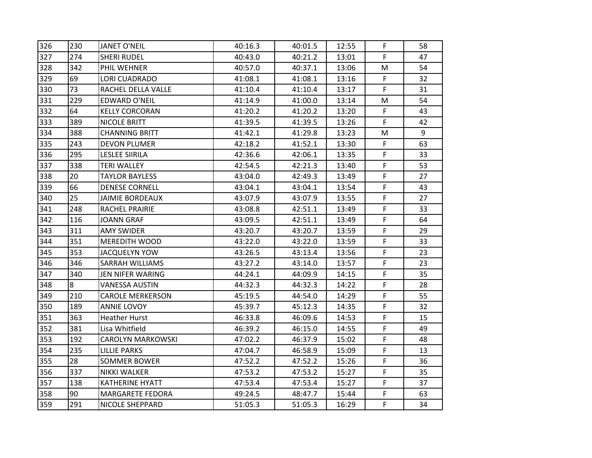| 326 | 230 | <b>JANET O'NEIL</b>      | 40:16.3 | 40:01.5 | 12:55 | F. | 58 |
|-----|-----|--------------------------|---------|---------|-------|----|----|
| 327 | 274 | <b>SHERI RUDEL</b>       | 40:43.0 | 40:21.2 | 13:01 | F  | 47 |
| 328 | 342 | PHIL WEHNER              | 40:57.0 | 40:37.1 | 13:06 | M  | 54 |
| 329 | 69  | LORI CUADRADO            | 41:08.1 | 41:08.1 | 13:16 | F  | 32 |
| 330 | 73  | RACHEL DELLA VALLE       | 41:10.4 | 41:10.4 | 13:17 | F  | 31 |
| 331 | 229 | <b>EDWARD O'NEIL</b>     | 41:14.9 | 41:00.0 | 13:14 | M  | 54 |
| 332 | 64  | <b>KELLY CORCORAN</b>    | 41:20.2 | 41:20.2 | 13:20 | F  | 43 |
| 333 | 389 | NICOLE BRITT             | 41:39.5 | 41:39.5 | 13:26 | F  | 42 |
| 334 | 388 | <b>CHANNING BRITT</b>    | 41:42.1 | 41:29.8 | 13:23 | м  | 9  |
| 335 | 243 | <b>DEVON PLUMER</b>      | 42:18.2 | 41:52.1 | 13:30 | F  | 63 |
| 336 | 295 | <b>LESLEE SIIRILA</b>    | 42:36.6 | 42:06.1 | 13:35 | F  | 33 |
| 337 | 338 | <b>TERI WALLEY</b>       | 42:54.5 | 42:21.3 | 13:40 | F  | 53 |
| 338 | 20  | <b>TAYLOR BAYLESS</b>    | 43:04.0 | 42:49.3 | 13:49 | F. | 27 |
| 339 | 66  | <b>DENESE CORNELL</b>    | 43:04.1 | 43:04.1 | 13:54 | F. | 43 |
| 340 | 25  | <b>JAIMIE BORDEAUX</b>   | 43:07.9 | 43:07.9 | 13:55 | F  | 27 |
| 341 | 248 | RACHEL PRAIRIE           | 43:08.8 | 42:51.1 | 13:49 | F  | 33 |
| 342 | 116 | <b>JOANN GRAF</b>        | 43:09.5 | 42:51.1 | 13:49 | F  | 64 |
| 343 | 311 | <b>AMY SWIDER</b>        | 43:20.7 | 43:20.7 | 13:59 | F. | 29 |
| 344 | 351 | <b>MEREDITH WOOD</b>     | 43:22.0 | 43:22.0 | 13:59 | F  | 33 |
| 345 | 353 | <b>JACQUELYN YOW</b>     | 43:26.5 | 43:13.4 | 13:56 | F  | 23 |
| 346 | 346 | SARRAH WILLIAMS          | 43:27.2 | 43:14.0 | 13:57 | F  | 23 |
| 347 | 340 | JEN NIFER WARING         | 44:24.1 | 44:09.9 | 14:15 | F  | 35 |
| 348 | 8   | <b>VANESSA AUSTIN</b>    | 44:32.3 | 44:32.3 | 14:22 | F  | 28 |
| 349 | 210 | <b>CAROLE MERKERSON</b>  | 45:19.5 | 44:54.0 | 14:29 | F  | 55 |
| 350 | 189 | ANNIE LOVOY              | 45:39.7 | 45:12.3 | 14:35 | F  | 32 |
| 351 | 363 | <b>Heather Hurst</b>     | 46:33.8 | 46:09.6 | 14:53 | F  | 15 |
| 352 | 381 | Lisa Whitfield           | 46:39.2 | 46:15.0 | 14:55 | F  | 49 |
| 353 | 192 | <b>CAROLYN MARKOWSKI</b> | 47:02.2 | 46:37.9 | 15:02 | F  | 48 |
| 354 | 235 | <b>LILLIE PARKS</b>      | 47:04.7 | 46:58.9 | 15:09 | F  | 13 |
| 355 | 28  | <b>SOMMER BOWER</b>      | 47:52.2 | 47:52.2 | 15:26 | F  | 36 |
| 356 | 337 | <b>NIKKI WALKER</b>      | 47:53.2 | 47:53.2 | 15:27 | F  | 35 |
| 357 | 138 | <b>KATHERINE HYATT</b>   | 47:53.4 | 47:53.4 | 15:27 | F. | 37 |
| 358 | 90  | <b>MARGARETE FEDORA</b>  | 49:24.5 | 48:47.7 | 15:44 | F  | 63 |
| 359 | 291 | <b>NICOLE SHEPPARD</b>   | 51:05.3 | 51:05.3 | 16:29 | F  | 34 |